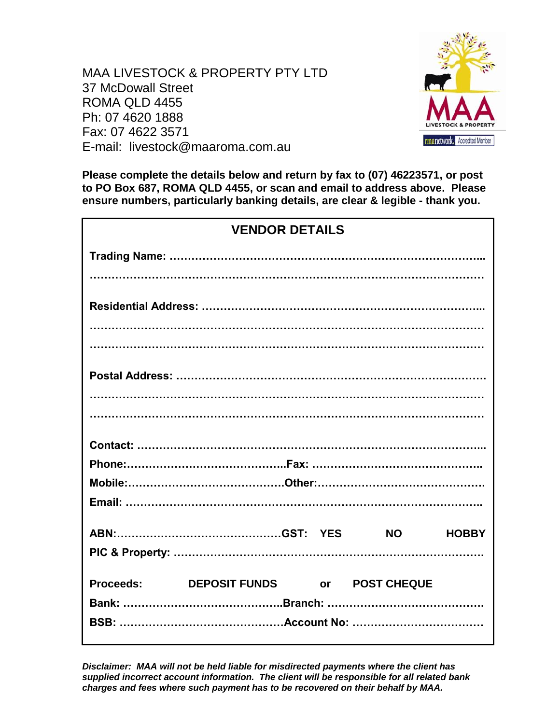MAA LIVESTOCK & PROPERTY PTY LTD 37 McDowall Street ROMA QLD 4455 Ph: 07 4620 1888 Fax: 07 4622 3571 E-mail: livestock@maaroma.com.au



**Please complete the details below and return by fax to (07) 46223571, or post to PO Box 687, ROMA QLD 4455, or scan and email to address above. Please ensure numbers, particularly banking details, are clear & legible - thank you.**

| <b>VENDOR DETAILS</b> |                                        |  |  |              |
|-----------------------|----------------------------------------|--|--|--------------|
|                       |                                        |  |  |              |
|                       |                                        |  |  |              |
|                       |                                        |  |  |              |
|                       |                                        |  |  |              |
|                       |                                        |  |  |              |
|                       |                                        |  |  |              |
|                       |                                        |  |  |              |
|                       |                                        |  |  |              |
|                       |                                        |  |  |              |
|                       |                                        |  |  |              |
|                       |                                        |  |  |              |
|                       |                                        |  |  | <b>HOBBY</b> |
|                       |                                        |  |  |              |
|                       | Proceeds: DEPOSIT FUNDS or POST CHEQUE |  |  |              |
|                       |                                        |  |  |              |
|                       |                                        |  |  |              |

*Disclaimer: MAA will not be held liable for misdirected payments where the client has supplied incorrect account information. The client will be responsible for all related bank charges and fees where such payment has to be recovered on their behalf by MAA.*